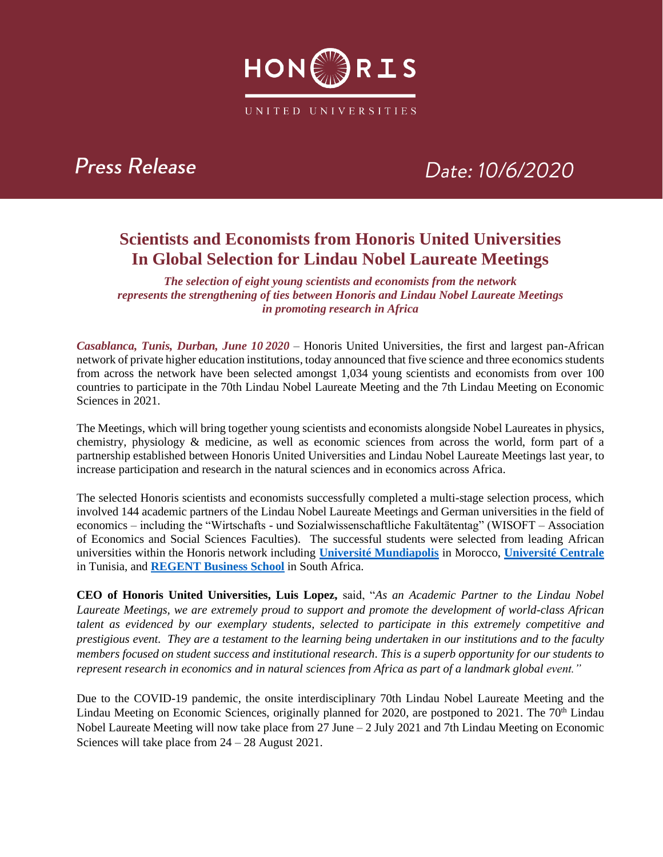

### **Press Release**

# Date: 10/6/2020

### **Scientists and Economists from Honoris United Universities In Global Selection for Lindau Nobel Laureate Meetings**

*The selection of eight young scientists and economists from the network represents the strengthening of ties between Honoris and Lindau Nobel Laureate Meetings in promoting research in Africa*

*Casablanca, Tunis, Durban, June 10 2020* – Honoris United Universities, the first and largest pan-African network of private higher education institutions, today announced that five science and three economics students from across the network have been selected amongst 1,034 young scientists and economists from over 100 countries to participate in the 70th Lindau Nobel Laureate Meeting and the 7th Lindau Meeting on Economic Sciences in 2021.

The Meetings, which will bring together young scientists and economists alongside Nobel Laureates in physics, chemistry, physiology & medicine, as well as economic sciences from across the world, form part of a partnership established between Honoris United Universities and Lindau Nobel Laureate Meetings last year, to increase participation and research in the natural sciences and in economics across Africa.

The selected Honoris scientists and economists successfully completed a multi-stage selection process, which involved 144 academic partners of the Lindau Nobel Laureate Meetings and German universities in the field of economics – including the "Wirtschafts - und Sozialwissenschaftliche Fakultätentag" (WISOFT – Association of Economics and Social Sciences Faculties). The successful students were selected from leading African universities within the Honoris network including **[Université Mundiapolis](http://www.mundiapolis.ma/)** in Morocco, **[Université Centrale](http://www.universitecentrale.net/)** in Tunisia, and **[REGENT Business School](http://www.regent.ac.za/)** in South Africa.

**CEO of Honoris United Universities, Luis Lopez,** said, "*As an Academic Partner to the Lindau Nobel Laureate Meetings, we are extremely proud to support and promote the development of world-class African talent as evidenced by our exemplary students, selected to participate in this extremely competitive and prestigious event. They are a testament to the learning being undertaken in our institutions and to the faculty members focused on student success and institutional research. This is a superb opportunity for our students to represent research in economics and in natural sciences from Africa as part of a landmark global event."*

Due to the COVID-19 pandemic, the onsite interdisciplinary 70th Lindau Nobel Laureate Meeting and the Lindau Meeting on Economic Sciences, originally planned for 2020, are postponed to 2021. The 70<sup>th</sup> Lindau Nobel Laureate Meeting will now take place from 27 June – 2 July 2021 and 7th Lindau Meeting on Economic Sciences will take place from 24 – 28 August 2021.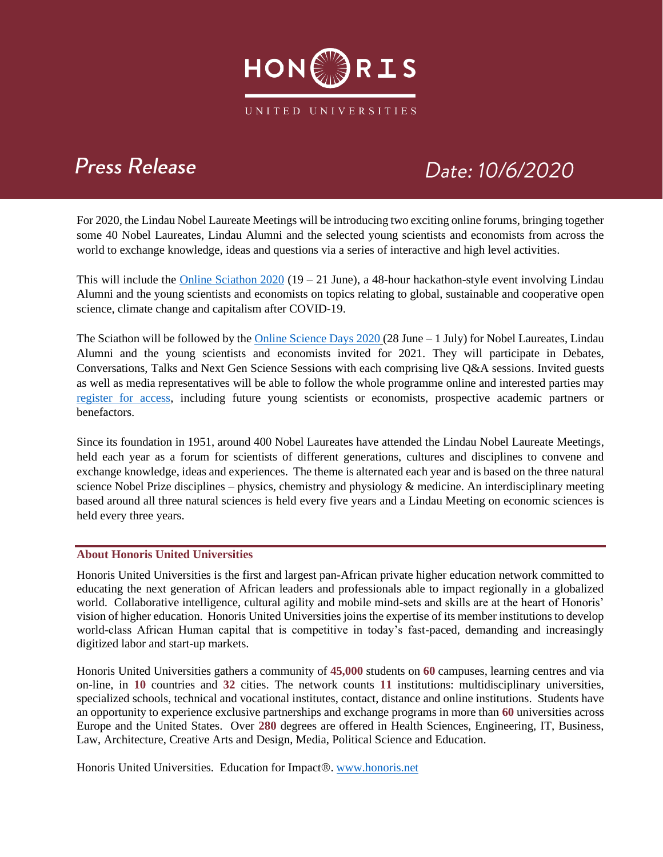

## **Press Release**

# Date: 10/6/2020

For 2020, the Lindau Nobel Laureate Meetings will be introducing two exciting online forums, bringing together some 40 Nobel Laureates, Lindau Alumni and the selected young scientists and economists from across the world to exchange knowledge, ideas and questions via a series of interactive and high level activities.

This will include the Online Sciathon  $2020$  (19 – 21 June), a 48-hour hackathon-style event involving Lindau Alumni and the young scientists and economists on topics relating to global, sustainable and cooperative open science, climate change and capitalism after COVID-19.

The Sciathon will be followed by the Online Science Days  $2020(28 \text{ June} - 1 \text{ July})$  for Nobel Laureates, Lindau Alumni and the young scientists and economists invited for 2021. They will participate in Debates, Conversations, Talks and Next Gen Science Sessions with each comprising live Q&A sessions. Invited guests as well as media representatives will be able to follow the whole programme online and interested parties may [register for access,](http://science-days.org/participation/) including future young scientists or economists, prospective academic partners or benefactors.

Since its foundation in 1951, around 400 Nobel Laureates have attended the Lindau Nobel Laureate Meetings, held each year as a forum for scientists of different generations, cultures and disciplines to convene and exchange knowledge, ideas and experiences. The theme is alternated each year and is based on the three natural science Nobel Prize disciplines – physics, chemistry and physiology & medicine. An interdisciplinary meeting based around all three natural sciences is held every five years and a Lindau Meeting on economic sciences is held every three years.

#### **About Honoris United Universities**

Honoris United Universities is the first and largest pan-African private higher education network committed to educating the next generation of African leaders and professionals able to impact regionally in a globalized world. Collaborative intelligence, cultural agility and mobile mind-sets and skills are at the heart of Honoris' vision of higher education. Honoris United Universities joins the expertise of its member institutions to develop world-class African Human capital that is competitive in today's fast-paced, demanding and increasingly digitized labor and start-up markets.

Honoris United Universities gathers a community of **45,000** students on **60** campuses, learning centres and via on-line, in **10** countries and **32** cities. The network counts **11** institutions: multidisciplinary universities, specialized schools, technical and vocational institutes, contact, distance and online institutions. Students have an opportunity to experience exclusive partnerships and exchange programs in more than **60** universities across Europe and the United States. Over **280** degrees are offered in Health Sciences, Engineering, IT, Business, Law, Architecture, Creative Arts and Design, Media, Political Science and Education.

Honoris United Universities. Education for Impact®. [www.honoris.net](http://www.honoris.net/)